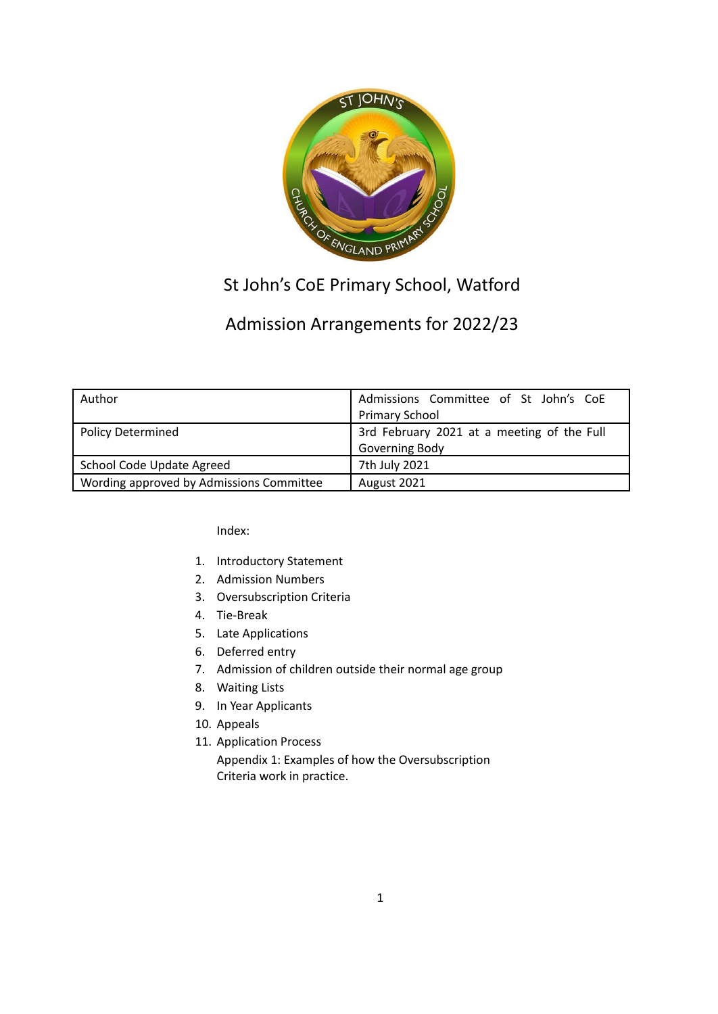

# St John's CoE Primary School, Watford

## Admission Arrangements for 2022/23

| Author                                   | Admissions Committee of St John's CoE<br><b>Primary School</b> |
|------------------------------------------|----------------------------------------------------------------|
| <b>Policy Determined</b>                 | 3rd February 2021 at a meeting of the Full<br>Governing Body   |
| <b>School Code Update Agreed</b>         | 7th July 2021                                                  |
| Wording approved by Admissions Committee | August 2021                                                    |

Index:

- 1. Introductory Statement
- 2. Admission Numbers
- 3. Oversubscription Criteria
- 4. Tie-Break
- 5. Late Applications
- 6. Deferred entry
- 7. Admission of children outside their normal age group
- 8. Waiting Lists
- 9. In Year Applicants
- 10. Appeals
- 11. Application Process

Appendix 1: Examples of how the Oversubscription Criteria work in practice.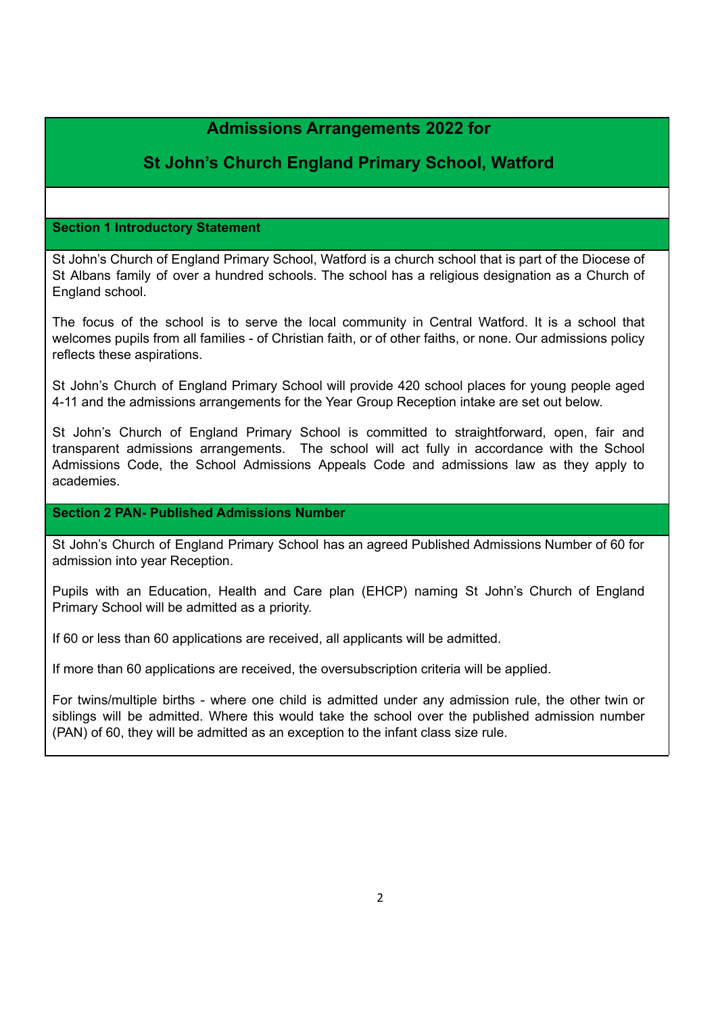## **Admissions Arrangements 2022 for**

## **St John's Church England Primary School, Watford**

## **Section 1 Introductory Statement**

St John's Church of England Primary School, Watford is a church school that is part of the Diocese of St Albans family of over a hundred schools. The school has a religious designation as a Church of England school.

The focus of the school is to serve the local community in Central Watford. It is a school that welcomes pupils from all families - of Christian faith, or of other faiths, or none. Our admissions policy reflects these aspirations.

St John's Church of England Primary School will provide 420 school places for young people aged 4-11 and the admissions arrangements for the Year Group Reception intake are set out below.

St John's Church of England Primary School is committed to straightforward, open, fair and transparent admissions arrangements. The school will act fully in accordance with the School Admissions Code, the School Admissions Appeals Code and admissions law as they apply to academies.

## **Section 2 PAN- Published Admissions Number**

St John's Church of England Primary School has an agreed Published Admissions Number of 60 for admission into year Reception.

Pupils with an Education, Health and Care plan (EHCP) naming St John's Church of England Primary School will be admitted as a priority.

If 60 or less than 60 applications are received, all applicants will be admitted.

If more than 60 applications are received, the oversubscription criteria will be applied.

For twins/multiple births - where one child is admitted under any admission rule, the other twin or siblings will be admitted. Where this would take the school over the published admission number (PAN) of 60, they will be admitted as an exception to the infant class size rule.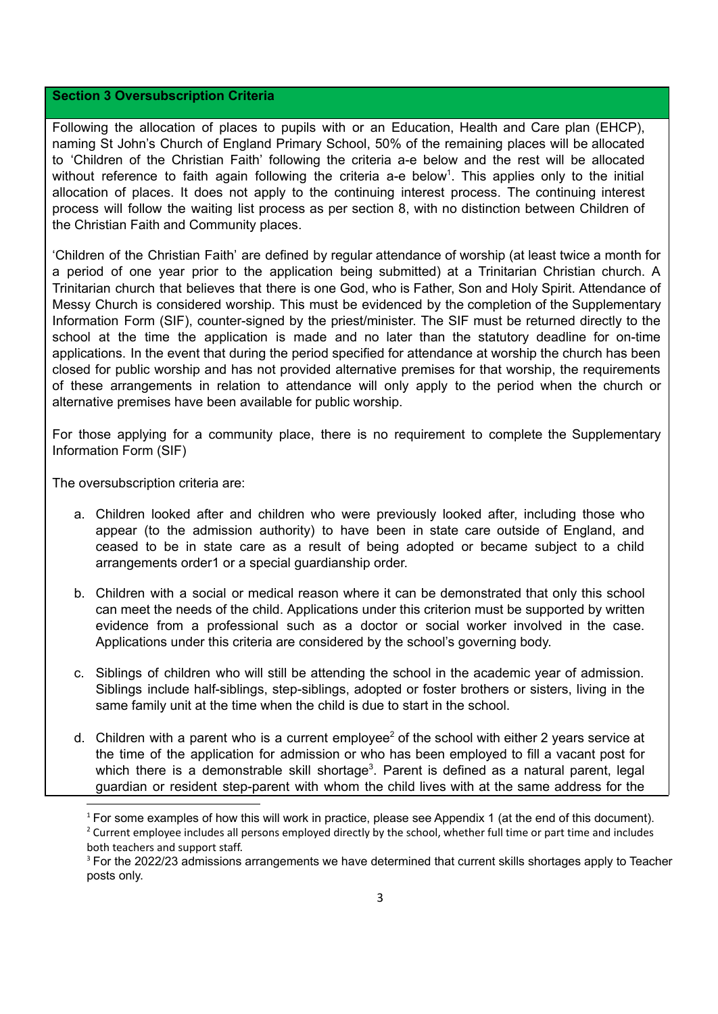#### **Section 3 Oversubscription Criteria**

Following the allocation of places to pupils with or an Education, Health and Care plan (EHCP), naming St John's Church of England Primary School, 50% of the remaining places will be allocated to 'Children of the Christian Faith' following the criteria a-e below and the rest will be allocated without reference to faith again following the criteria a-e below<sup>1</sup>. This applies only to the initial allocation of places. It does not apply to the continuing interest process. The continuing interest process will follow the waiting list process as per section 8, with no distinction between Children of the Christian Faith and Community places.

'Children of the Christian Faith' are defined by regular attendance of worship (at least twice a month for a period of one year prior to the application being submitted) at a Trinitarian Christian church. A Trinitarian church that believes that there is one God, who is Father, Son and Holy Spirit. Attendance of Messy Church is considered worship. This must be evidenced by the completion of the Supplementary Information Form (SIF), counter-signed by the priest/minister. The SIF must be returned directly to the school at the time the application is made and no later than the statutory deadline for on-time applications. In the event that during the period specified for attendance at worship the church has been closed for public worship and has not provided alternative premises for that worship, the requirements of these arrangements in relation to attendance will only apply to the period when the church or alternative premises have been available for public worship.

For those applying for a community place, there is no requirement to complete the Supplementary Information Form (SIF)

The oversubscription criteria are:

- a. Children looked after and children who were previously looked after, including those who appear (to the admission authority) to have been in state care outside of England, and ceased to be in state care as a result of being adopted or became subject to a child arrangements order1 or a special guardianship order.
- b. Children with a social or medical reason where it can be demonstrated that only this school can meet the needs of the child. Applications under this criterion must be supported by written evidence from a professional such as a doctor or social worker involved in the case. Applications under this criteria are considered by the school's governing body.
- c. Siblings of children who will still be attending the school in the academic year of admission. Siblings include half-siblings, step-siblings, adopted or foster brothers or sisters, living in the same family unit at the time when the child is due to start in the school.
- d. Children with a parent who is a current employee<sup>2</sup> of the school with either 2 years service at the time of the application for admission or who has been employed to fill a vacant post for which there is a demonstrable skill shortage<sup>3</sup>. Parent is defined as a natural parent, legal guardian or resident step-parent with whom the child lives with at the same address for the

<sup>&</sup>lt;sup>1</sup> For some examples of how this will work in practice, please see Appendix 1 (at the end of this document).

<sup>&</sup>lt;sup>2</sup> Current employee includes all persons employed directly by the school, whether full time or part time and includes both teachers and support staff.

<sup>&</sup>lt;sup>3</sup> For the 2022/23 admissions arrangements we have determined that current skills shortages apply to Teacher posts only.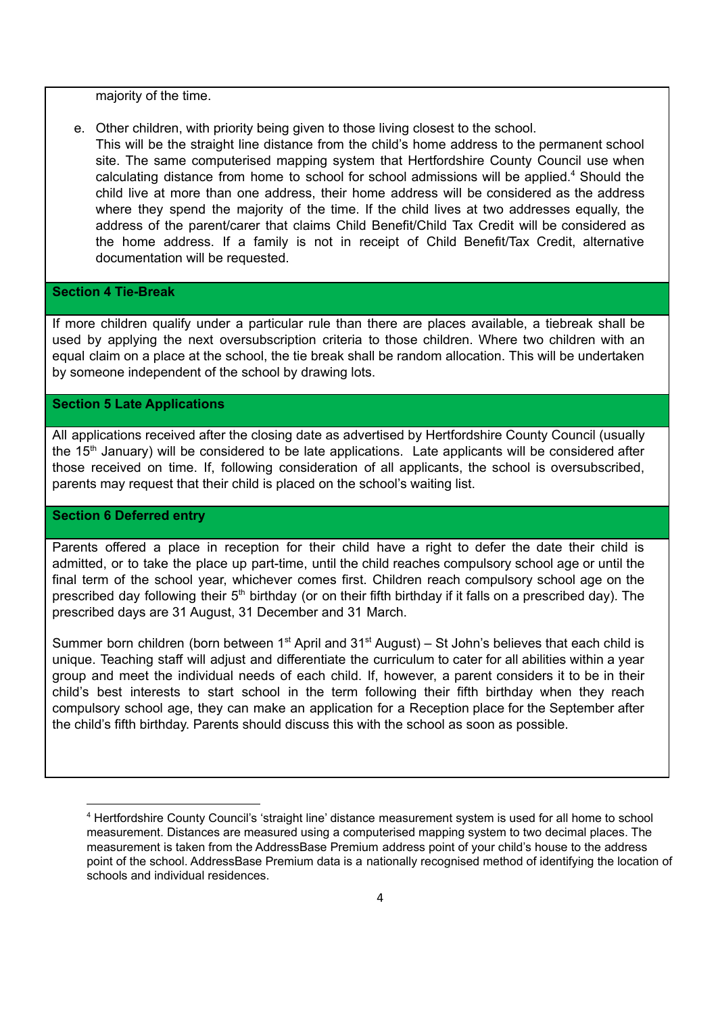majority of the time.

- e. Other children, with priority being given to those living closest to the school.
- This will be the straight line distance from the child's home address to the permanent school site. The same computerised mapping system that Hertfordshire County Council use when calculating distance from home to school for school admissions will be applied.<sup>4</sup> Should the child live at more than one address, their home address will be considered as the address where they spend the majority of the time. If the child lives at two addresses equally, the address of the parent/carer that claims Child Benefit/Child Tax Credit will be considered as the home address. If a family is not in receipt of Child Benefit/Tax Credit, alternative documentation will be requested.

#### **Section 4 Tie-Break**

If more children qualify under a particular rule than there are places available, a tiebreak shall be used by applying the next oversubscription criteria to those children. Where two children with an equal claim on a place at the school, the tie break shall be random allocation. This will be undertaken by someone independent of the school by drawing lots.

## **Section 5 Late Applications**

All applications received after the closing date as advertised by Hertfordshire County Council (usually the 15<sup>th</sup> January) will be considered to be late applications. Late applicants will be considered after those received on time. If, following consideration of all applicants, the school is oversubscribed, parents may request that their child is placed on the school's waiting list.

#### **Section 6 Deferred entry**

Parents offered a place in reception for their child have a right to defer the date their child is admitted, or to take the place up part-time, until the child reaches compulsory school age or until the final term of the school year, whichever comes first. Children reach compulsory school age on the prescribed day following their 5<sup>th</sup> birthday (or on their fifth birthday if it falls on a prescribed day). The prescribed days are 31 August, 31 December and 31 March.

Summer born children (born between  $1<sup>st</sup>$  April and  $31<sup>st</sup>$  August) – St John's believes that each child is unique. Teaching staff will adjust and differentiate the curriculum to cater for all abilities within a year group and meet the individual needs of each child. If, however, a parent considers it to be in their child's best interests to start school in the term following their fifth birthday when they reach compulsory school age, they can make an application for a Reception place for the September after the child's fifth birthday. Parents should discuss this with the school as soon as possible.

<sup>4</sup> Hertfordshire County Council's 'straight line' distance measurement system is used for all home to school measurement. Distances are measured using a computerised mapping system to two decimal places. The measurement is taken from the AddressBase Premium address point of your child's house to the address point of the school. AddressBase Premium data is a nationally recognised method of identifying the location of schools and individual residences.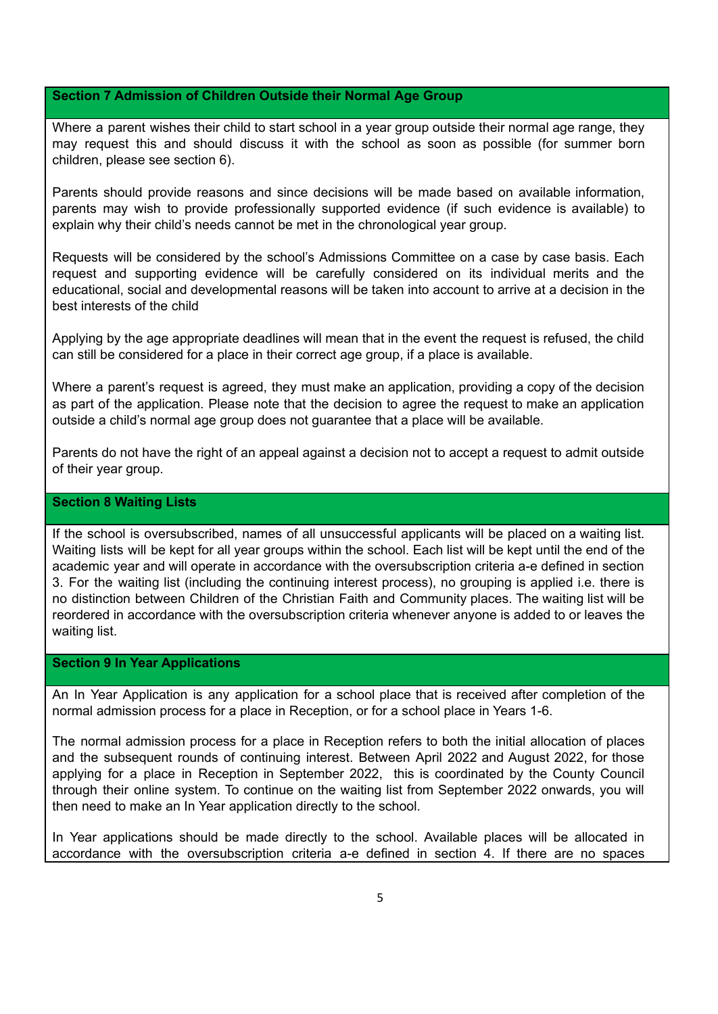#### **Section 7 Admission of Children Outside their Normal Age Group**

Where a parent wishes their child to start school in a year group outside their normal age range, they may request this and should discuss it with the school as soon as possible (for summer born children, please see section 6).

Parents should provide reasons and since decisions will be made based on available information, parents may wish to provide professionally supported evidence (if such evidence is available) to explain why their child's needs cannot be met in the chronological year group.

Requests will be considered by the school's Admissions Committee on a case by case basis. Each request and supporting evidence will be carefully considered on its individual merits and the educational, social and developmental reasons will be taken into account to arrive at a decision in the best interests of the child

Applying by the age appropriate deadlines will mean that in the event the request is refused, the child can still be considered for a place in their correct age group, if a place is available.

Where a parent's request is agreed, they must make an application, providing a copy of the decision as part of the application. Please note that the decision to agree the request to make an application outside a child's normal age group does not guarantee that a place will be available.

Parents do not have the right of an appeal against a decision not to accept a request to admit outside of their year group.

## **Section 8 Waiting Lists**

If the school is oversubscribed, names of all unsuccessful applicants will be placed on a waiting list. Waiting lists will be kept for all year groups within the school. Each list will be kept until the end of the academic year and will operate in accordance with the oversubscription criteria a-e defined in section 3. For the waiting list (including the continuing interest process), no grouping is applied i.e. there is no distinction between Children of the Christian Faith and Community places. The waiting list will be reordered in accordance with the oversubscription criteria whenever anyone is added to or leaves the waiting list.

#### **Section 9 In Year Applications**

An In Year Application is any application for a school place that is received after completion of the normal admission process for a place in Reception, or for a school place in Years 1-6.

The normal admission process for a place in Reception refers to both the initial allocation of places and the subsequent rounds of continuing interest. Between April 2022 and August 2022, for those applying for a place in Reception in September 2022, this is coordinated by the County Council through their online system. To continue on the waiting list from September 2022 onwards, you will then need to make an In Year application directly to the school.

In Year applications should be made directly to the school. Available places will be allocated in accordance with the oversubscription criteria a-e defined in section 4. If there are no spaces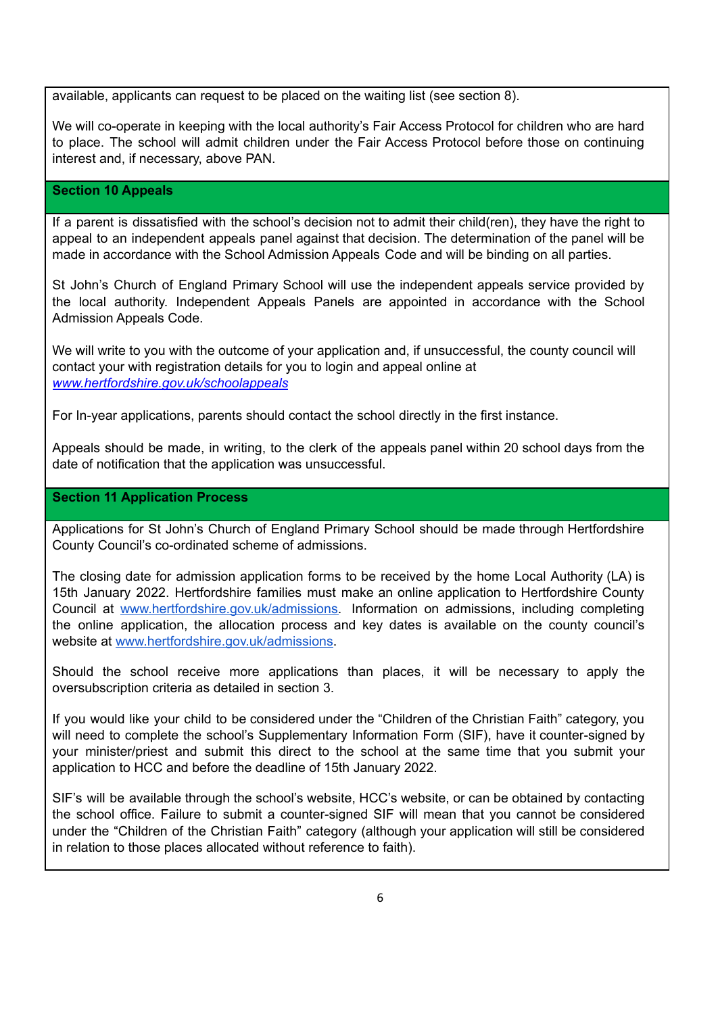available, applicants can request to be placed on the waiting list (see section 8).

We will co-operate in keeping with the local authority's Fair Access Protocol for children who are hard to place. The school will admit children under the Fair Access Protocol before those on continuing interest and, if necessary, above PAN.

## **Section 10 Appeals**

If a parent is dissatisfied with the school's decision not to admit their child(ren), they have the right to appeal to an independent appeals panel against that decision. The determination of the panel will be made in accordance with the School Admission Appeals Code and will be binding on all parties.

St John's Church of England Primary School will use the independent appeals service provided by the local authority. Independent Appeals Panels are appointed in accordance with the School Admission Appeals Code.

We will write to you with the outcome of your application and, if unsuccessful, the county council will contact your with registration details for you to login and appeal online at *[www.hertfordshire.gov.uk/schoolappeals](http://www.hertfordshire.gov.uk/schoolappeals)*

For In-year applications, parents should contact the school directly in the first instance.

Appeals should be made, in writing, to the clerk of the appeals panel within 20 school days from the date of notification that the application was unsuccessful.

## **Section 11 Application Process**

Applications for St John's Church of England Primary School should be made through Hertfordshire County Council's co-ordinated scheme of admissions.

The closing date for admission application forms to be received by the home Local Authority (LA) is 15th January 2022. Hertfordshire families must make an online application to Hertfordshire County Council at [www.hertfordshire.gov.uk/admissions.](http://www.hertfordshire.gov.uk/admissions) Information on admissions, including completing the online application, the allocation process and key dates is available on the county council's website at [www.hertfordshire.gov.uk/admissions.](http://www.hertfordshire.gov.uk/admissions)

Should the school receive more applications than places, it will be necessary to apply the oversubscription criteria as detailed in section 3.

If you would like your child to be considered under the "Children of the Christian Faith" category, you will need to complete the school's Supplementary Information Form (SIF), have it counter-signed by your minister/priest and submit this direct to the school at the same time that you submit your application to HCC and before the deadline of 15th January 2022.

SIF's will be available through the school's website, HCC's website, or can be obtained by contacting the school office. Failure to submit a counter-signed SIF will mean that you cannot be considered under the "Children of the Christian Faith" category (although your application will still be considered in relation to those places allocated without reference to faith).